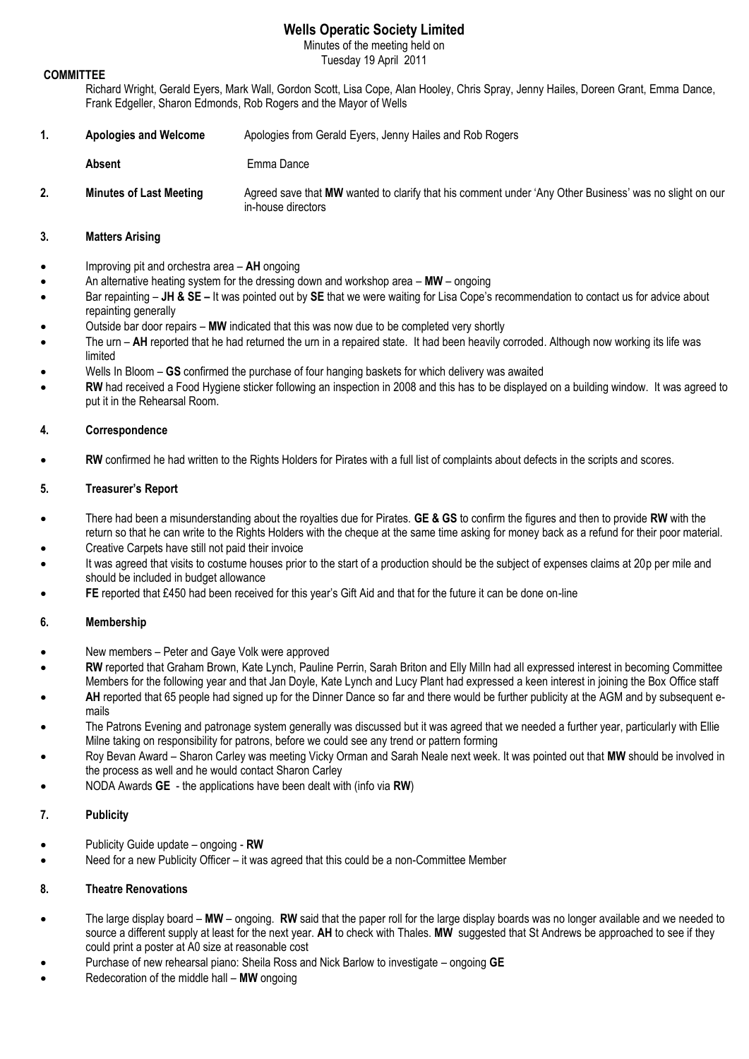# **Wells Operatic Society Limited**

Minutes of the meeting held on Tuesday 19 April 2011

### **COMMITTEE**

Richard Wright, Gerald Eyers, Mark Wall, Gordon Scott, Lisa Cope, Alan Hooley, Chris Spray, Jenny Hailes, Doreen Grant, Emma Dance, Frank Edgeller, Sharon Edmonds, Rob Rogers and the Mayor of Wells

- **1. Apologies and Welcome** Apologies from Gerald Eyers, Jenny Hailes and Rob Rogers
	- **Absent Emma Dance**
- **2. Minutes of Last Meeting** Agreed save that **MW** wanted to clarify that his comment under 'Any Other Business' was no slight on our in-house directors

## **3. Matters Arising**

- Improving pit and orchestra area **AH** ongoing
- An alternative heating system for the dressing down and workshop area **MW** ongoing
- Bar repainting **JH & SE –** It was pointed out by **SE** that we were waiting for Lisa Cope's recommendation to contact us for advice about repainting generally
- Outside bar door repairs **MW** indicated that this was now due to be completed very shortly
- The urn **AH** reported that he had returned the urn in a repaired state. It had been heavily corroded. Although now working its life was limited
- Wells In Bloom **GS** confirmed the purchase of four hanging baskets for which delivery was awaited
- **RW** had received a Food Hygiene sticker following an inspection in 2008 and this has to be displayed on a building window. It was agreed to put it in the Rehearsal Room.

## **4. Correspondence**

**RW** confirmed he had written to the Rights Holders for Pirates with a full list of complaints about defects in the scripts and scores.

## **5. Treasurer's Report**

- There had been a misunderstanding about the royalties due for Pirates. **GE & GS** to confirm the figures and then to provide **RW** with the return so that he can write to the Rights Holders with the cheque at the same time asking for money back as a refund for their poor material.
- Creative Carpets have still not paid their invoice
- It was agreed that visits to costume houses prior to the start of a production should be the subject of expenses claims at 20p per mile and should be included in budget allowance
- **FE** reported that £450 had been received for this year's Gift Aid and that for the future it can be done on-line

## **6. Membership**

- New members Peter and Gaye Volk were approved
- **RW** reported that Graham Brown, Kate Lynch, Pauline Perrin, Sarah Briton and Elly Milln had all expressed interest in becoming Committee Members for the following year and that Jan Doyle, Kate Lynch and Lucy Plant had expressed a keen interest in joining the Box Office staff
- **AH** reported that 65 people had signed up for the Dinner Dance so far and there would be further publicity at the AGM and by subsequent emails
- The Patrons Evening and patronage system generally was discussed but it was agreed that we needed a further year, particularly with Ellie Milne taking on responsibility for patrons, before we could see any trend or pattern forming
- Roy Bevan Award Sharon Carley was meeting Vicky Orman and Sarah Neale next week. It was pointed out that **MW** should be involved in the process as well and he would contact Sharon Carley
- NODA Awards **GE** the applications have been dealt with (info via **RW**)

## **7. Publicity**

- Publicity Guide update ongoing **RW**
- Need for a new Publicity Officer it was agreed that this could be a non-Committee Member

## **8. Theatre Renovations**

- The large display board **MW** ongoing. **RW** said that the paper roll for the large display boards was no longer available and we needed to source a different supply at least for the next year. **AH** to check with Thales. **MW** suggested that St Andrews be approached to see if they could print a poster at A0 size at reasonable cost
- Purchase of new rehearsal piano: Sheila Ross and Nick Barlow to investigate ongoing **GE**
- Redecoration of the middle hall **MW** ongoing